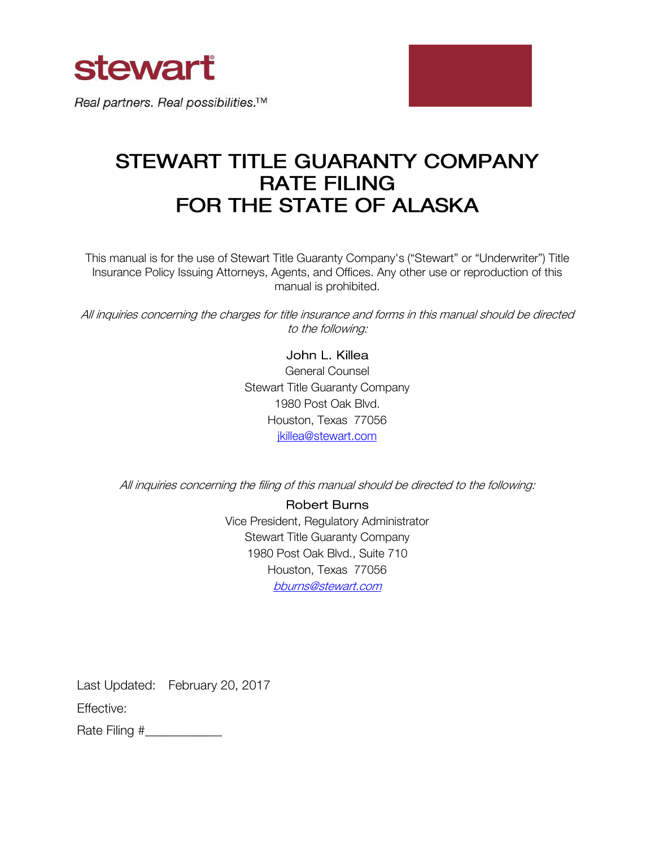

Real partners. Real possibilities.<sup>™</sup>



# STEWART TITLE GUARANTY COMPANY **RATE FILING** FOR THE STATE OF ALASKA

This manual is for the use of Stewart Title Guaranty Company's ("Stewart" or "Underwriter") Title Insurance Policy Issuing Attorneys, Agents, and Offices. Any other use or reproduction of this manual is prohibited.

All inquiries concerning the charges for title insurance and forms in this manual should be directed to the following:

> John L. Killea General Counsel Stewart Title Guaranty Company 1980 Post Oak Blvd. Houston, Texas 77056 [jkillea@stewart.com](mailto:jkillea@stewart.com)

All inquiries concerning the filing of this manual should be directed to the following:

**Robert Burns** Vice President, Regulatory Administrator Stewart Title Guaranty Company 1980 Post Oak Blvd., Suite 710 Houston, Texas 77056 [bburns@stewart.com](mailto:bburns@stewart.com)

Last Updated: February 20, 2017

Effective:

Rate Filing #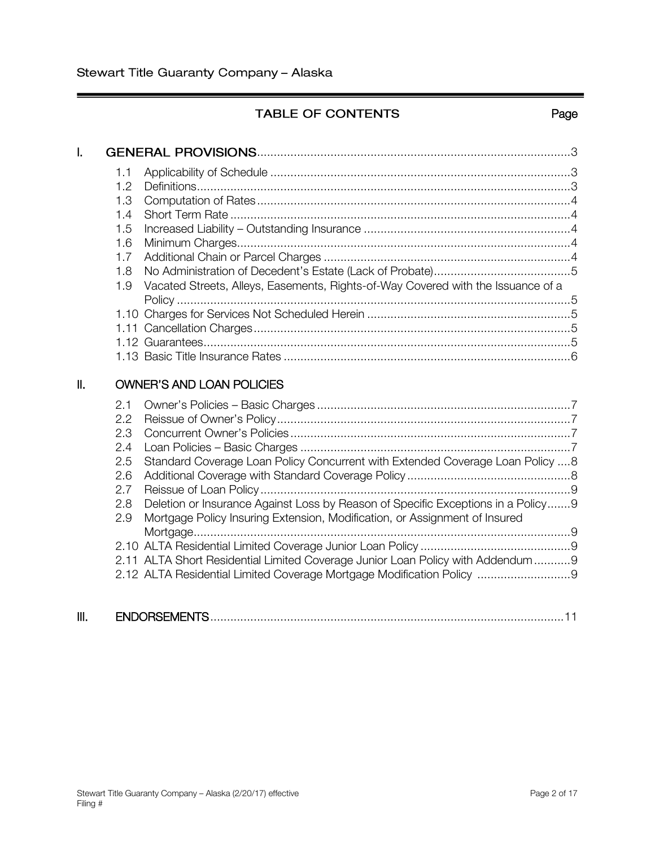l

# TABLE OF CONTENTS Fage

| $\mathbf{I}$ . |                   |                                                                                                                                                                |  |
|----------------|-------------------|----------------------------------------------------------------------------------------------------------------------------------------------------------------|--|
|                | 1.1<br>1.2<br>1.3 |                                                                                                                                                                |  |
|                | 1.4               |                                                                                                                                                                |  |
|                | 1.5               |                                                                                                                                                                |  |
|                | 1.6               |                                                                                                                                                                |  |
|                | 1.7               |                                                                                                                                                                |  |
|                | 1.8               |                                                                                                                                                                |  |
|                | 1.9               | Vacated Streets, Alleys, Easements, Rights-of-Way Covered with the Issuance of a                                                                               |  |
|                |                   |                                                                                                                                                                |  |
|                | 1.11              |                                                                                                                                                                |  |
|                |                   |                                                                                                                                                                |  |
|                |                   |                                                                                                                                                                |  |
| Ш.             |                   | <b>OWNER'S AND LOAN POLICIES</b>                                                                                                                               |  |
|                | 2.1               |                                                                                                                                                                |  |
|                | 2.2               |                                                                                                                                                                |  |
|                | 2.3<br>2.4        |                                                                                                                                                                |  |
|                | 2.5               | Standard Coverage Loan Policy Concurrent with Extended Coverage Loan Policy 8                                                                                  |  |
|                | 2.6               |                                                                                                                                                                |  |
|                | 2.7               |                                                                                                                                                                |  |
|                | 2.8<br>2.9        | Deletion or Insurance Against Loss by Reason of Specific Exceptions in a Policy9<br>Mortgage Policy Insuring Extension, Modification, or Assignment of Insured |  |
|                |                   |                                                                                                                                                                |  |
|                |                   | 2.11 ALTA Short Residential Limited Coverage Junior Loan Policy with Addendum9                                                                                 |  |
|                |                   | 2.12 ALTA Residential Limited Coverage Mortgage Modification Policy                                                                                            |  |
|                |                   |                                                                                                                                                                |  |

| Ш.<br><b>ENDORSEMENTS</b> |  |  |
|---------------------------|--|--|
|---------------------------|--|--|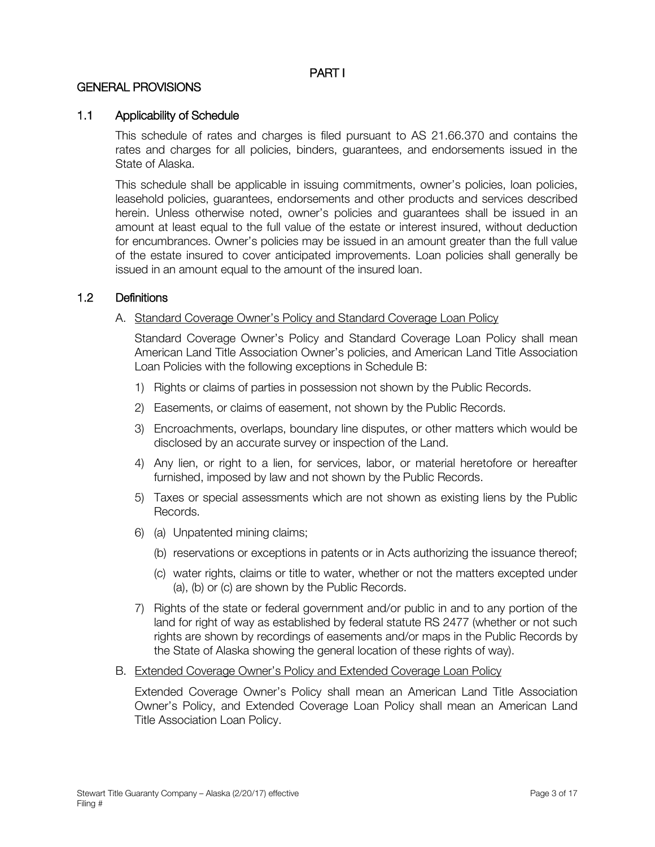# PART I

# GENERAL PROVISIONS

# 1.1 Applicability of Schedule

This schedule of rates and charges is filed pursuant to AS 21.66.370 and contains the rates and charges for all policies, binders, guarantees, and endorsements issued in the State of Alaska.

This schedule shall be applicable in issuing commitments, owner's policies, loan policies, leasehold policies, guarantees, endorsements and other products and services described herein. Unless otherwise noted, owner's policies and guarantees shall be issued in an amount at least equal to the full value of the estate or interest insured, without deduction for encumbrances. Owner's policies may be issued in an amount greater than the full value of the estate insured to cover anticipated improvements. Loan policies shall generally be issued in an amount equal to the amount of the insured loan.

# 1.2 Definitions

#### A. Standard Coverage Owner's Policy and Standard Coverage Loan Policy

Standard Coverage Owner's Policy and Standard Coverage Loan Policy shall mean American Land Title Association Owner's policies, and American Land Title Association Loan Policies with the following exceptions in Schedule B:

- 1) Rights or claims of parties in possession not shown by the Public Records.
- 2) Easements, or claims of easement, not shown by the Public Records.
- 3) Encroachments, overlaps, boundary line disputes, or other matters which would be disclosed by an accurate survey or inspection of the Land.
- 4) Any lien, or right to a lien, for services, labor, or material heretofore or hereafter furnished, imposed by law and not shown by the Public Records.
- 5) Taxes or special assessments which are not shown as existing liens by the Public Records.
- 6) (a) Unpatented mining claims;
	- (b) reservations or exceptions in patents or in Acts authorizing the issuance thereof;
	- (c) water rights, claims or title to water, whether or not the matters excepted under (a), (b) or (c) are shown by the Public Records.
- 7) Rights of the state or federal government and/or public in and to any portion of the land for right of way as established by federal statute RS 2477 (whether or not such rights are shown by recordings of easements and/or maps in the Public Records by the State of Alaska showing the general location of these rights of way).
- B. Extended Coverage Owner's Policy and Extended Coverage Loan Policy

Extended Coverage Owner's Policy shall mean an American Land Title Association Owner's Policy, and Extended Coverage Loan Policy shall mean an American Land Title Association Loan Policy.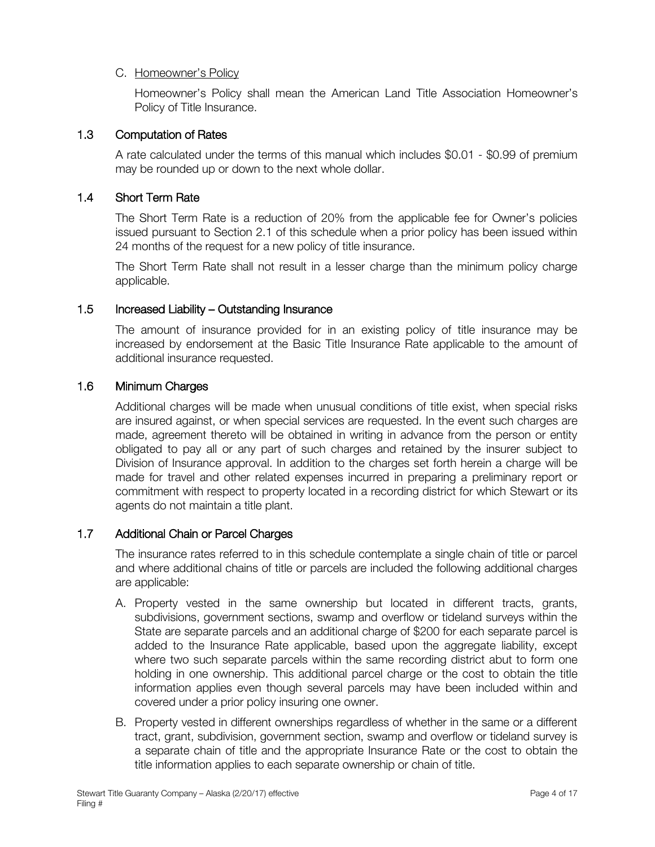# C. Homeowner's Policy

Homeowner's Policy shall mean the American Land Title Association Homeowner's Policy of Title Insurance.

# 1.3 Computation of Rates

A rate calculated under the terms of this manual which includes \$0.01 - \$0.99 of premium may be rounded up or down to the next whole dollar.

# 1.4 Short Term Rate

The Short Term Rate is a reduction of 20% from the applicable fee for Owner's policies issued pursuant to Section 2.1 of this schedule when a prior policy has been issued within 24 months of the request for a new policy of title insurance.

The Short Term Rate shall not result in a lesser charge than the minimum policy charge applicable.

# 1.5 Increased Liability – Outstanding Insurance

The amount of insurance provided for in an existing policy of title insurance may be increased by endorsement at the Basic Title Insurance Rate applicable to the amount of additional insurance requested.

# 1.6 Minimum Charges

Additional charges will be made when unusual conditions of title exist, when special risks are insured against, or when special services are requested. In the event such charges are made, agreement thereto will be obtained in writing in advance from the person or entity obligated to pay all or any part of such charges and retained by the insurer subject to Division of Insurance approval. In addition to the charges set forth herein a charge will be made for travel and other related expenses incurred in preparing a preliminary report or commitment with respect to property located in a recording district for which Stewart or its agents do not maintain a title plant.

# 1.7 Additional Chain or Parcel Charges

The insurance rates referred to in this schedule contemplate a single chain of title or parcel and where additional chains of title or parcels are included the following additional charges are applicable:

- A. Property vested in the same ownership but located in different tracts, grants, subdivisions, government sections, swamp and overflow or tideland surveys within the State are separate parcels and an additional charge of \$200 for each separate parcel is added to the Insurance Rate applicable, based upon the aggregate liability, except where two such separate parcels within the same recording district abut to form one holding in one ownership. This additional parcel charge or the cost to obtain the title information applies even though several parcels may have been included within and covered under a prior policy insuring one owner.
- B. Property vested in different ownerships regardless of whether in the same or a different tract, grant, subdivision, government section, swamp and overflow or tideland survey is a separate chain of title and the appropriate Insurance Rate or the cost to obtain the title information applies to each separate ownership or chain of title.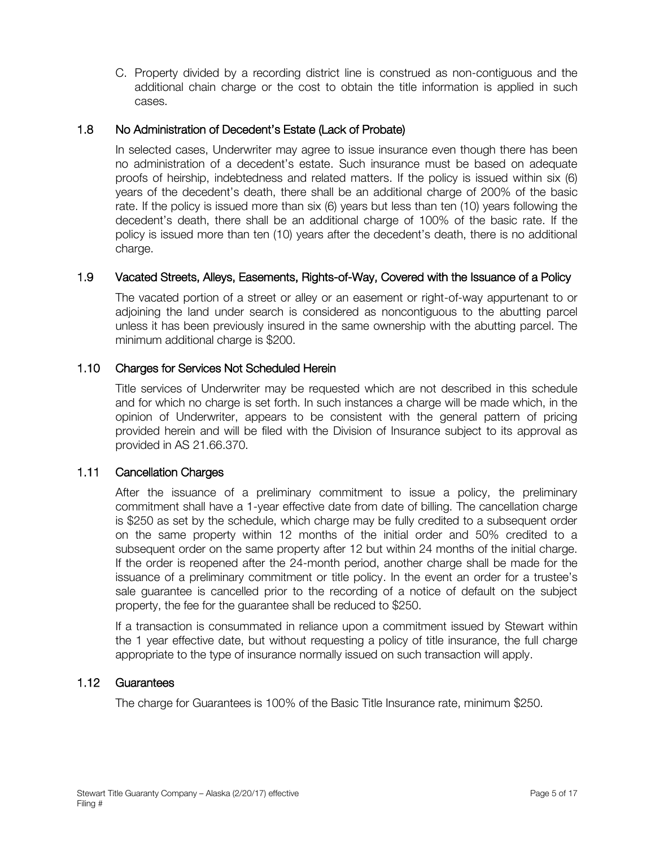C. Property divided by a recording district line is construed as non-contiguous and the additional chain charge or the cost to obtain the title information is applied in such cases.

# 1.8 No Administration of Decedent's Estate (Lack of Probate)

In selected cases, Underwriter may agree to issue insurance even though there has been no administration of a decedent's estate. Such insurance must be based on adequate proofs of heirship, indebtedness and related matters. If the policy is issued within six (6) years of the decedent's death, there shall be an additional charge of 200% of the basic rate. If the policy is issued more than six (6) years but less than ten (10) years following the decedent's death, there shall be an additional charge of 100% of the basic rate. If the policy is issued more than ten (10) years after the decedent's death, there is no additional charge.

# 1.9 Vacated Streets, Alleys, Easements, Rights-of-Way, Covered with the Issuance of a Policy

The vacated portion of a street or alley or an easement or right-of-way appurtenant to or adjoining the land under search is considered as noncontiguous to the abutting parcel unless it has been previously insured in the same ownership with the abutting parcel. The minimum additional charge is \$200.

# 1.10 Charges for Services Not Scheduled Herein

Title services of Underwriter may be requested which are not described in this schedule and for which no charge is set forth. In such instances a charge will be made which, in the opinion of Underwriter, appears to be consistent with the general pattern of pricing provided herein and will be filed with the Division of Insurance subject to its approval as provided in AS 21.66.370.

# 1.11 Cancellation Charges

After the issuance of a preliminary commitment to issue a policy, the preliminary commitment shall have a 1-year effective date from date of billing. The cancellation charge is \$250 as set by the schedule, which charge may be fully credited to a subsequent order on the same property within 12 months of the initial order and 50% credited to a subsequent order on the same property after 12 but within 24 months of the initial charge. If the order is reopened after the 24-month period, another charge shall be made for the issuance of a preliminary commitment or title policy. In the event an order for a trustee's sale guarantee is cancelled prior to the recording of a notice of default on the subject property, the fee for the guarantee shall be reduced to \$250.

If a transaction is consummated in reliance upon a commitment issued by Stewart within the 1 year effective date, but without requesting a policy of title insurance, the full charge appropriate to the type of insurance normally issued on such transaction will apply.

# 1.12 Guarantees

The charge for Guarantees is 100% of the Basic Title Insurance rate, minimum \$250.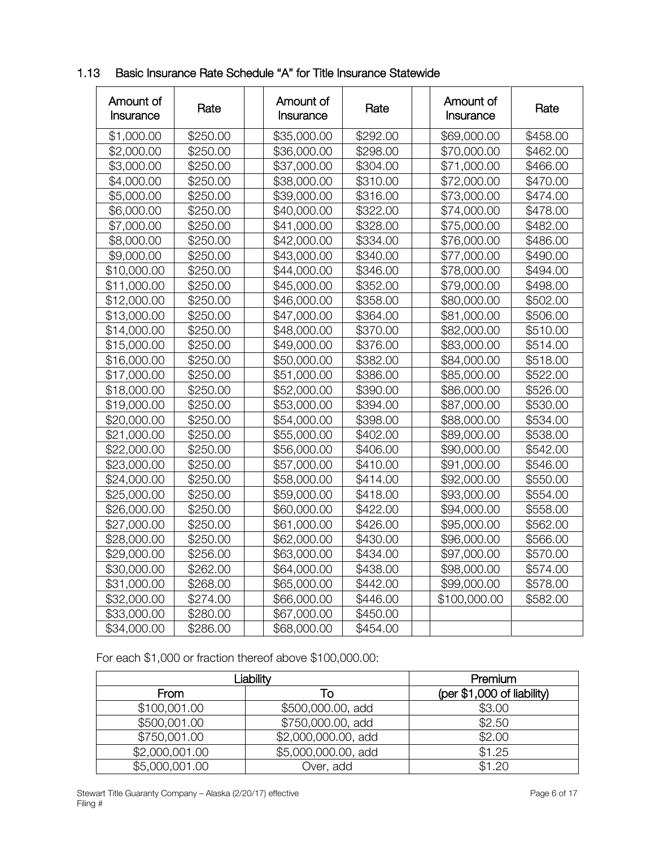| Amount of<br>Insurance | Rate     | Amount of<br>Insurance | Rate     | Amount of<br>Insurance | Rate     |
|------------------------|----------|------------------------|----------|------------------------|----------|
| \$1,000.00             | \$250.00 | \$35,000.00            | \$292.00 | \$69,000.00            | \$458.00 |
| \$2,000.00             | \$250.00 | \$36,000.00            | \$298.00 | \$70,000.00            | \$462.00 |
| \$3,000.00             | \$250.00 | \$37,000.00            | \$304.00 | \$71,000.00            | \$466.00 |
| \$4,000.00             | \$250.00 | \$38,000.00            | \$310.00 | \$72,000.00            | \$470.00 |
| \$5,000.00             | \$250.00 | \$39,000.00            | \$316.00 | \$73,000.00            | \$474.00 |
| \$6,000.00             | \$250.00 | \$40,000.00            | \$322.00 | \$74,000.00            | \$478.00 |
| \$7,000.00             | \$250.00 | \$41,000.00            | \$328.00 | \$75,000.00            | \$482.00 |
| \$8,000.00             | \$250.00 | \$42,000.00            | \$334.00 | \$76,000.00            | \$486.00 |
| \$9,000.00             | \$250.00 | \$43,000.00            | \$340.00 | \$77,000.00            | \$490.00 |
| \$10,000.00            | \$250.00 | \$44,000.00            | \$346.00 | \$78,000.00            | \$494.00 |
| \$11,000.00            | \$250.00 | \$45,000.00            | \$352.00 | \$79,000.00            | \$498.00 |
| \$12,000.00            | \$250.00 | \$46,000.00            | \$358.00 | \$80,000.00            | \$502.00 |
| \$13,000.00            | \$250.00 | \$47,000.00            | \$364.00 | \$81,000.00            | \$506.00 |
| \$14,000.00            | \$250.00 | \$48,000.00            | \$370.00 | \$82,000.00            | \$510.00 |
| \$15,000.00            | \$250.00 | \$49,000.00            | \$376.00 | \$83,000.00            | \$514.00 |
| \$16,000.00            | \$250.00 | \$50,000.00            | \$382.00 | \$84,000.00            | \$518.00 |
| \$17,000.00            | \$250.00 | \$51,000.00            | \$386.00 | \$85,000.00            | \$522.00 |
| \$18,000.00            | \$250.00 | \$52,000.00            | \$390.00 | \$86,000.00            | \$526.00 |
| \$19,000.00            | \$250.00 | \$53,000.00            | \$394.00 | \$87,000.00            | \$530.00 |
| \$20,000.00            | \$250.00 | \$54,000.00            | \$398.00 | \$88,000.00            | \$534.00 |
| \$21,000.00            | \$250.00 | \$55,000.00            | \$402.00 | \$89,000.00            | \$538.00 |
| \$22,000.00            | \$250.00 | \$56,000.00            | \$406.00 | \$90,000.00            | \$542.00 |
| \$23,000.00            | \$250.00 | \$57,000.00            | \$410.00 | \$91,000.00            | \$546.00 |
| \$24,000.00            | \$250.00 | \$58,000.00            | \$414.00 | \$92,000.00            | \$550.00 |
| \$25,000.00            | \$250.00 | \$59,000.00            | \$418.00 | \$93,000.00            | \$554.00 |
| \$26,000.00            | \$250.00 | \$60,000.00            | \$422.00 | \$94,000.00            | \$558.00 |
| \$27,000.00            | \$250.00 | \$61,000.00            | \$426.00 | \$95,000.00            | \$562.00 |
| \$28,000.00            | \$250.00 | \$62,000.00            | \$430.00 | \$96,000.00            | \$566.00 |
| \$29,000.00            | \$256.00 | \$63,000.00            | \$434.00 | \$97,000.00            | \$570.00 |
| \$30,000.00            | \$262.00 | \$64,000.00            | \$438.00 | \$98,000.00            | \$574.00 |
| \$31,000.00            | \$268.00 | \$65,000.00            | \$442.00 | \$99,000.00            | \$578.00 |
| \$32,000.00            | \$274.00 | \$66,000.00            | \$446.00 | \$100,000.00           | \$582.00 |
| \$33,000.00            | \$280.00 | \$67,000.00            | \$450.00 |                        |          |
| \$34,000.00            | \$286.00 | \$68,000.00            | \$454.00 |                        |          |

1.13 Basic Insurance Rate Schedule "A" for Title Insurance Statewide

For each \$1,000 or fraction thereof above \$100,000.00:

| Liability      | Premium             |                            |
|----------------|---------------------|----------------------------|
| From           |                     | (per \$1,000 of liability) |
| \$100,001.00   | \$500,000.00, add   | \$3.00                     |
| \$500,001.00   | \$750,000.00, add   | \$2.50                     |
| \$750,001.00   | \$2,000,000.00, add | \$2.00                     |
| \$2,000,001.00 | \$5,000,000.00, add | \$1.25                     |
| \$5,000,001.00 | Over, add           | \$1.20                     |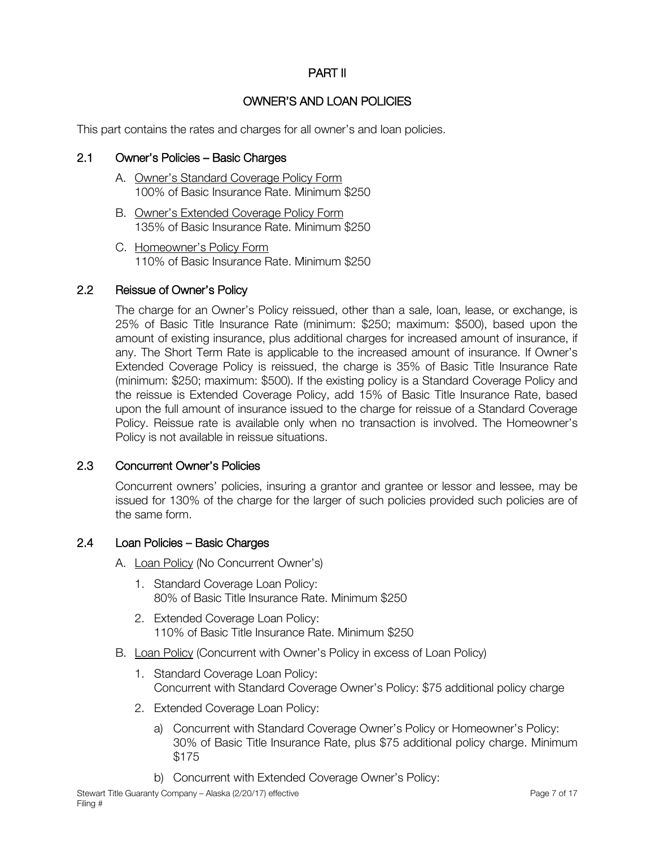# PART II

# OWNER'S AND LOAN POLICIES

This part contains the rates and charges for all owner's and loan policies.

# 2.1 Owner's Policies – Basic Charges

- A. Owner's Standard Coverage Policy Form 100% of Basic Insurance Rate. Minimum \$250
- B. Owner's Extended Coverage Policy Form 135% of Basic Insurance Rate. Minimum \$250
- C. Homeowner's Policy Form 110% of Basic Insurance Rate. Minimum \$250

# 2.2 Reissue of Owner's Policy

The charge for an Owner's Policy reissued, other than a sale, loan, lease, or exchange, is 25% of Basic Title Insurance Rate (minimum: \$250; maximum: \$500), based upon the amount of existing insurance, plus additional charges for increased amount of insurance, if any. The Short Term Rate is applicable to the increased amount of insurance. If Owner's Extended Coverage Policy is reissued, the charge is 35% of Basic Title Insurance Rate (minimum: \$250; maximum: \$500). If the existing policy is a Standard Coverage Policy and the reissue is Extended Coverage Policy, add 15% of Basic Title Insurance Rate, based upon the full amount of insurance issued to the charge for reissue of a Standard Coverage Policy. Reissue rate is available only when no transaction is involved. The Homeowner's Policy is not available in reissue situations.

# 2.3 Concurrent Owner's Policies

Concurrent owners' policies, insuring a grantor and grantee or lessor and lessee, may be issued for 130% of the charge for the larger of such policies provided such policies are of the same form.

#### 2.4 Loan Policies – Basic Charges

- A. Loan Policy (No Concurrent Owner's)
	- 1. Standard Coverage Loan Policy: 80% of Basic Title Insurance Rate. Minimum \$250
	- 2. Extended Coverage Loan Policy: 110% of Basic Title Insurance Rate. Minimum \$250
- B. Loan Policy (Concurrent with Owner's Policy in excess of Loan Policy)
	- 1. Standard Coverage Loan Policy: Concurrent with Standard Coverage Owner's Policy: \$75 additional policy charge
	- 2. Extended Coverage Loan Policy:
		- a) Concurrent with Standard Coverage Owner's Policy or Homeowner's Policy: 30% of Basic Title Insurance Rate, plus \$75 additional policy charge. Minimum \$175
		- b) Concurrent with Extended Coverage Owner's Policy: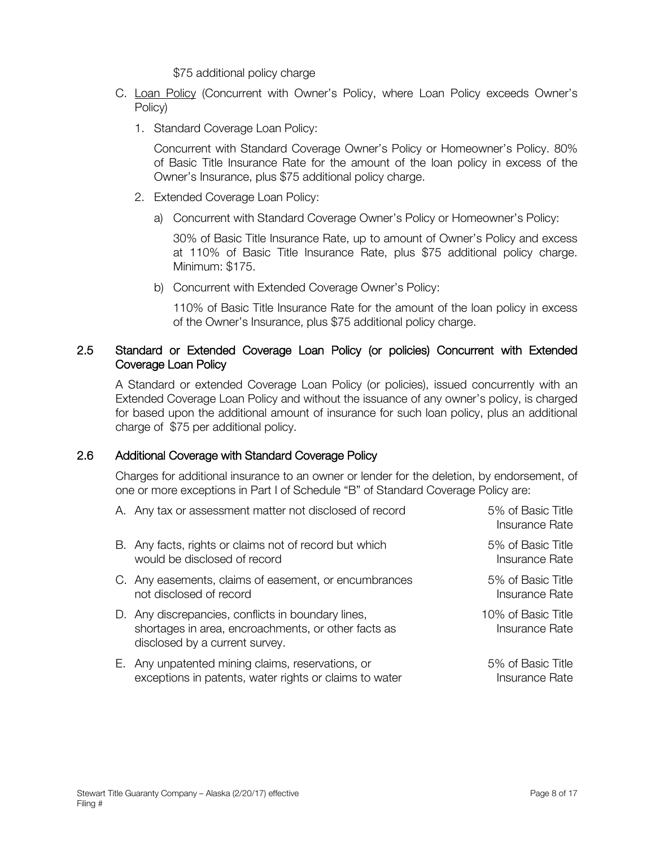\$75 additional policy charge

- C. Loan Policy (Concurrent with Owner's Policy, where Loan Policy exceeds Owner's Policy)
	- 1. Standard Coverage Loan Policy:

Concurrent with Standard Coverage Owner's Policy or Homeowner's Policy. 80% of Basic Title Insurance Rate for the amount of the loan policy in excess of the Owner's Insurance, plus \$75 additional policy charge.

- 2. Extended Coverage Loan Policy:
	- a) Concurrent with Standard Coverage Owner's Policy or Homeowner's Policy:

30% of Basic Title Insurance Rate, up to amount of Owner's Policy and excess at 110% of Basic Title Insurance Rate, plus \$75 additional policy charge. Minimum: \$175.

b) Concurrent with Extended Coverage Owner's Policy:

110% of Basic Title Insurance Rate for the amount of the loan policy in excess of the Owner's Insurance, plus \$75 additional policy charge.

# 2.5 Standard or Extended Coverage Loan Policy (or policies) Concurrent with Extended Coverage Loan Policy

A Standard or extended Coverage Loan Policy (or policies), issued concurrently with an Extended Coverage Loan Policy and without the issuance of any owner's policy, is charged for based upon the additional amount of insurance for such loan policy, plus an additional charge of \$75 per additional policy.

# 2.6 Additional Coverage with Standard Coverage Policy

Charges for additional insurance to an owner or lender for the deletion, by endorsement, of one or more exceptions in Part I of Schedule "B" of Standard Coverage Policy are:

| A. Any tax or assessment matter not disclosed of record                                                                                     | 5% of Basic Title<br>Insurance Rate  |
|---------------------------------------------------------------------------------------------------------------------------------------------|--------------------------------------|
| B. Any facts, rights or claims not of record but which<br>would be disclosed of record                                                      | 5% of Basic Title<br>Insurance Rate  |
| C. Any easements, claims of easement, or encumbrances<br>not disclosed of record                                                            | 5% of Basic Title<br>Insurance Rate  |
| D. Any discrepancies, conflicts in boundary lines,<br>shortages in area, encroachments, or other facts as<br>disclosed by a current survey. | 10% of Basic Title<br>Insurance Rate |
| E. Any unpatented mining claims, reservations, or<br>exceptions in patents, water rights or claims to water                                 | 5% of Basic Title<br>Insurance Rate  |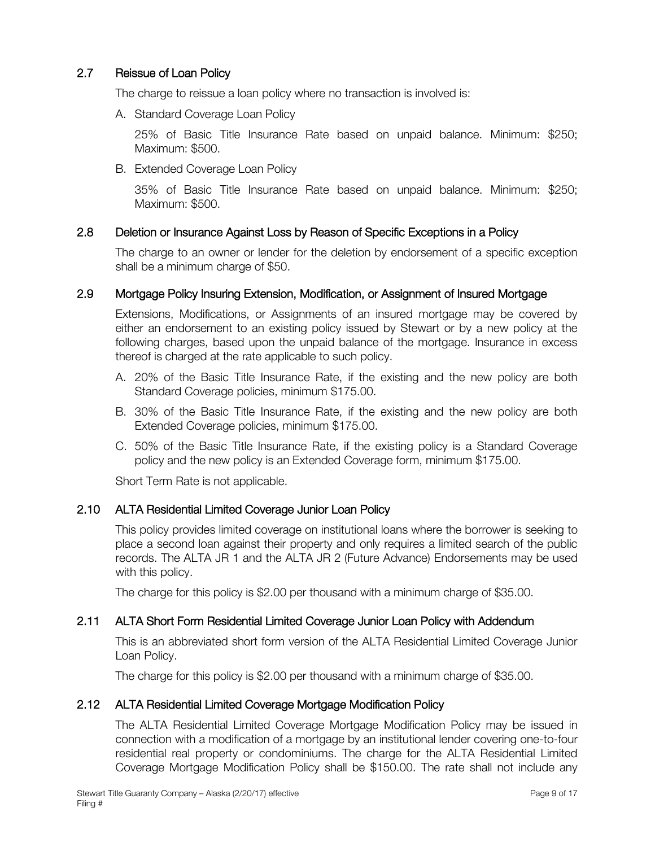# 2.7 Reissue of Loan Policy

The charge to reissue a loan policy where no transaction is involved is:

A. Standard Coverage Loan Policy

25% of Basic Title Insurance Rate based on unpaid balance. Minimum: \$250; Maximum: \$500.

B. Extended Coverage Loan Policy

35% of Basic Title Insurance Rate based on unpaid balance. Minimum: \$250; Maximum: \$500.

# 2.8 Deletion or Insurance Against Loss by Reason of Specific Exceptions in a Policy

The charge to an owner or lender for the deletion by endorsement of a specific exception shall be a minimum charge of \$50.

# 2.9 Mortgage Policy Insuring Extension, Modification, or Assignment of Insured Mortgage

Extensions, Modifications, or Assignments of an insured mortgage may be covered by either an endorsement to an existing policy issued by Stewart or by a new policy at the following charges, based upon the unpaid balance of the mortgage. Insurance in excess thereof is charged at the rate applicable to such policy.

- A. 20% of the Basic Title Insurance Rate, if the existing and the new policy are both Standard Coverage policies, minimum \$175.00.
- B. 30% of the Basic Title Insurance Rate, if the existing and the new policy are both Extended Coverage policies, minimum \$175.00.
- C. 50% of the Basic Title Insurance Rate, if the existing policy is a Standard Coverage policy and the new policy is an Extended Coverage form, minimum \$175.00.

Short Term Rate is not applicable.

# 2.10 ALTA Residential Limited Coverage Junior Loan Policy

This policy provides limited coverage on institutional loans where the borrower is seeking to place a second loan against their property and only requires a limited search of the public records. The ALTA JR 1 and the ALTA JR 2 (Future Advance) Endorsements may be used with this policy.

The charge for this policy is \$2.00 per thousand with a minimum charge of \$35.00.

# 2.11 ALTA Short Form Residential Limited Coverage Junior Loan Policy with Addendum

This is an abbreviated short form version of the ALTA Residential Limited Coverage Junior Loan Policy.

The charge for this policy is \$2.00 per thousand with a minimum charge of \$35.00.

# 2.12 ALTA Residential Limited Coverage Mortgage Modification Policy

The ALTA Residential Limited Coverage Mortgage Modification Policy may be issued in connection with a modification of a mortgage by an institutional lender covering one-to-four residential real property or condominiums. The charge for the ALTA Residential Limited Coverage Mortgage Modification Policy shall be \$150.00. The rate shall not include any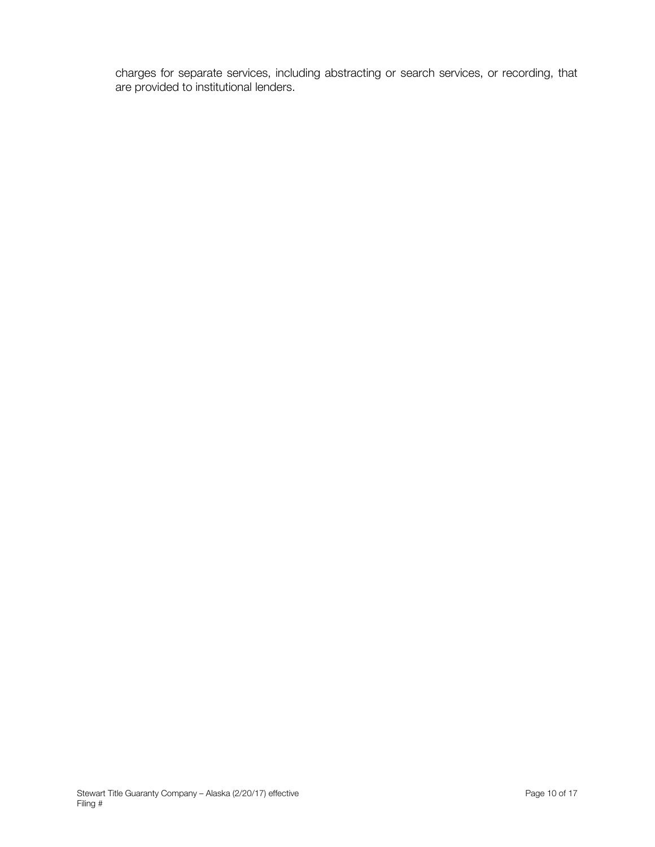charges for separate services, including abstracting or search services, or recording, that are provided to institutional lenders.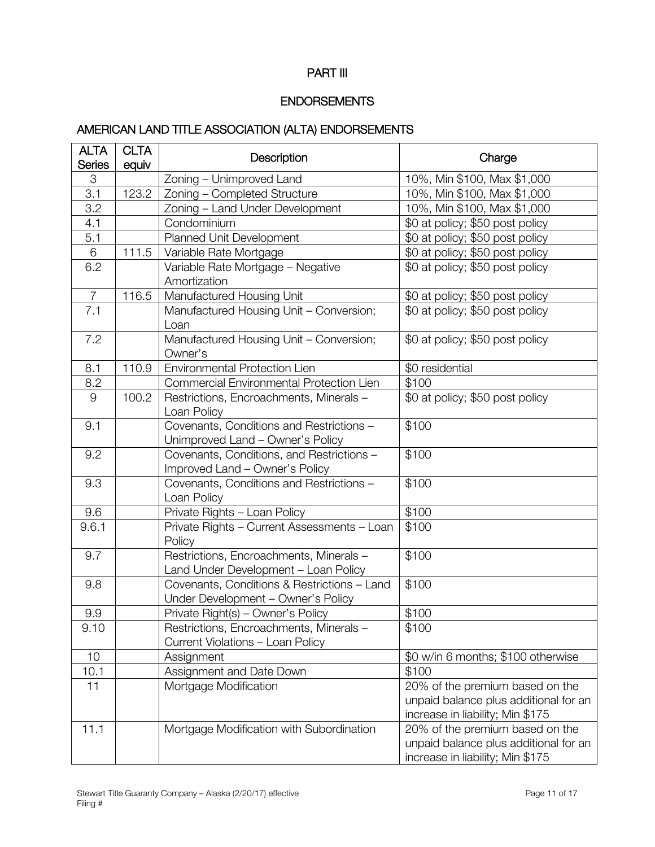# PART III

# ENDORSEMENTS

# AMERICAN LAND TITLE ASSOCIATION (ALTA) ENDORSEMENTS

| <b>ALTA</b><br><b>Series</b> | <b>CLTA</b><br>equiv | Description                                                                       | Charge                                                                                                       |
|------------------------------|----------------------|-----------------------------------------------------------------------------------|--------------------------------------------------------------------------------------------------------------|
| 3                            |                      | Zoning - Unimproved Land                                                          | 10%, Min \$100, Max \$1,000                                                                                  |
| 3.1                          | 123.2                | Zoning - Completed Structure                                                      | 10%, Min \$100, Max \$1,000                                                                                  |
| 3.2                          |                      | Zoning - Land Under Development                                                   | 10%, Min \$100, Max \$1,000                                                                                  |
| 4.1                          |                      | Condominium                                                                       | \$0 at policy; \$50 post policy                                                                              |
| 5.1                          |                      | Planned Unit Development                                                          | \$0 at policy; \$50 post policy                                                                              |
| $\,6$                        | 111.5                | Variable Rate Mortgage                                                            | \$0 at policy; \$50 post policy                                                                              |
| 6.2                          |                      | Variable Rate Mortgage - Negative<br>Amortization                                 | \$0 at policy; \$50 post policy                                                                              |
| $\overline{7}$               | 116.5                | Manufactured Housing Unit                                                         | \$0 at policy; \$50 post policy                                                                              |
| 7.1                          |                      | Manufactured Housing Unit - Conversion;<br>Loan                                   | \$0 at policy; \$50 post policy                                                                              |
| 7.2                          |                      | Manufactured Housing Unit - Conversion;<br>Owner's                                | \$0 at policy; \$50 post policy                                                                              |
| 8.1                          | 110.9                | Environmental Protection Lien                                                     | \$0 residential                                                                                              |
| 8.2                          |                      | Commercial Environmental Protection Lien                                          | \$100                                                                                                        |
| 9                            | 100.2                | Restrictions, Encroachments, Minerals -<br>Loan Policy                            | \$0 at policy; \$50 post policy                                                                              |
| 9.1                          |                      | Covenants, Conditions and Restrictions -<br>Unimproved Land - Owner's Policy      | \$100                                                                                                        |
| 9.2                          |                      | Covenants, Conditions, and Restrictions -<br>Improved Land - Owner's Policy       | \$100                                                                                                        |
| 9.3                          |                      | Covenants, Conditions and Restrictions -<br>Loan Policy                           | \$100                                                                                                        |
| 9.6                          |                      | Private Rights - Loan Policy                                                      | \$100                                                                                                        |
| 9.6.1                        |                      | Private Rights - Current Assessments - Loan<br>Policy                             | \$100                                                                                                        |
| 9.7                          |                      | Restrictions, Encroachments, Minerals -<br>Land Under Development - Loan Policy   | \$100                                                                                                        |
| 9.8                          |                      | Covenants, Conditions & Restrictions - Land<br>Under Development - Owner's Policy | \$100                                                                                                        |
| 9.9                          |                      | Private Right(s) - Owner's Policy                                                 | \$100                                                                                                        |
| 9.10                         |                      | Restrictions, Encroachments, Minerals -<br>Current Violations - Loan Policy       | \$100                                                                                                        |
| 10                           |                      | Assignment                                                                        | \$0 w/in 6 months; \$100 otherwise                                                                           |
| 10.1                         |                      | Assignment and Date Down                                                          | \$100                                                                                                        |
| 11                           |                      | Mortgage Modification                                                             | 20% of the premium based on the<br>unpaid balance plus additional for an<br>increase in liability; Min \$175 |
| 11.1                         |                      | Mortgage Modification with Subordination                                          | 20% of the premium based on the<br>unpaid balance plus additional for an<br>increase in liability; Min \$175 |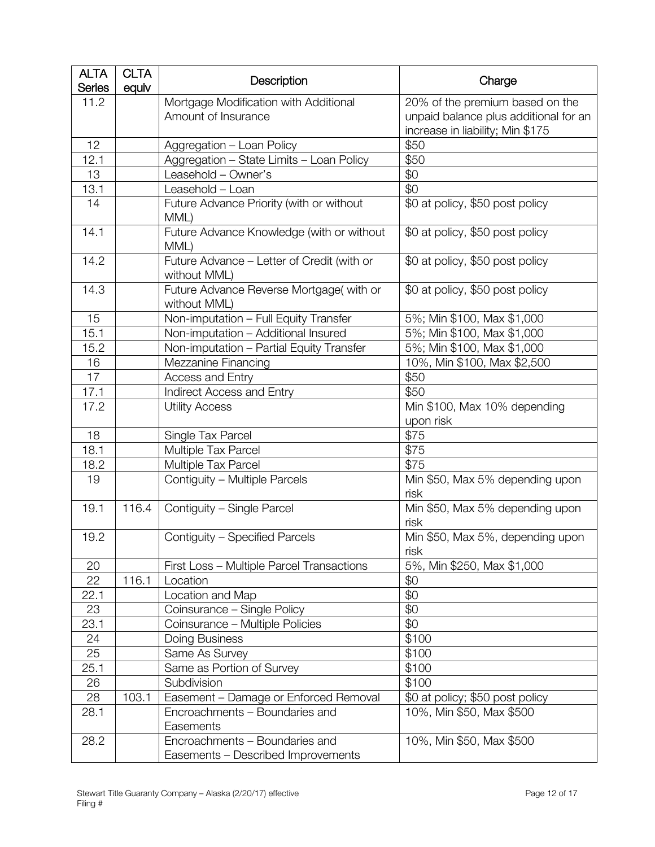| <b>ALTA</b><br><b>Series</b> | <b>CLTA</b><br>equiv | Description                                                          | Charge                                                                                                       |
|------------------------------|----------------------|----------------------------------------------------------------------|--------------------------------------------------------------------------------------------------------------|
| 11.2                         |                      | Mortgage Modification with Additional<br>Amount of Insurance         | 20% of the premium based on the<br>unpaid balance plus additional for an<br>increase in liability; Min \$175 |
| 12                           |                      | Aggregation - Loan Policy                                            | \$50                                                                                                         |
| 12.1                         |                      | Aggregation - State Limits - Loan Policy                             | \$50                                                                                                         |
| 13                           |                      | Leasehold - Owner's                                                  | \$0                                                                                                          |
| 13.1                         |                      | Leasehold - Loan                                                     | \$0                                                                                                          |
| 14                           |                      | Future Advance Priority (with or without<br>MML)                     | \$0 at policy, \$50 post policy                                                                              |
| 14.1                         |                      | Future Advance Knowledge (with or without<br>MML)                    | \$0 at policy, \$50 post policy                                                                              |
| 14.2                         |                      | Future Advance - Letter of Credit (with or<br>without MML)           | \$0 at policy, \$50 post policy                                                                              |
| 14.3                         |                      | Future Advance Reverse Mortgage(with or<br>without MML)              | \$0 at policy, \$50 post policy                                                                              |
| 15                           |                      | Non-imputation - Full Equity Transfer                                | 5%; Min \$100, Max \$1,000                                                                                   |
| 15.1                         |                      | Non-imputation - Additional Insured                                  | 5%; Min \$100, Max \$1,000                                                                                   |
| 15.2                         |                      | Non-imputation - Partial Equity Transfer                             | 5%; Min \$100, Max \$1,000                                                                                   |
| 16                           |                      | Mezzanine Financing                                                  | 10%, Min \$100, Max \$2,500                                                                                  |
| 17                           |                      | Access and Entry                                                     | \$50                                                                                                         |
| 17.1                         |                      | Indirect Access and Entry                                            | \$50                                                                                                         |
| 17.2                         |                      | <b>Utility Access</b>                                                | Min \$100, Max 10% depending<br>upon risk                                                                    |
| 18                           |                      | Single Tax Parcel                                                    | \$75                                                                                                         |
| 18.1                         |                      | Multiple Tax Parcel                                                  | \$75                                                                                                         |
| 18.2                         |                      | Multiple Tax Parcel                                                  | \$75                                                                                                         |
| 19                           |                      | Contiguity - Multiple Parcels                                        | Min \$50, Max 5% depending upon<br>risk                                                                      |
| 19.1                         | 116.4                | Contiguity - Single Parcel                                           | Min \$50, Max 5% depending upon<br>risk                                                                      |
| 19.2                         |                      | Contiguity - Specified Parcels                                       | Min \$50, Max 5%, depending upon<br>risk                                                                     |
| 20                           |                      | First Loss - Multiple Parcel Transactions                            | 5%, Min \$250, Max \$1,000                                                                                   |
| 22                           | 116.1                | Location                                                             | \$0                                                                                                          |
| 22.1                         |                      | Location and Map                                                     | \$0                                                                                                          |
| 23                           |                      | Coinsurance - Single Policy                                          | \$0                                                                                                          |
| 23.1                         |                      | Coinsurance - Multiple Policies                                      | \$0                                                                                                          |
| 24                           |                      | Doing Business                                                       | \$100                                                                                                        |
| 25                           |                      | Same As Survey                                                       | \$100                                                                                                        |
| 25.1                         |                      | Same as Portion of Survey                                            | \$100                                                                                                        |
| 26                           |                      | Subdivision                                                          | \$100                                                                                                        |
| 28                           | 103.1                | Easement - Damage or Enforced Removal                                | \$0 at policy; \$50 post policy                                                                              |
| 28.1                         |                      | Encroachments - Boundaries and<br>Easements                          | 10%, Min \$50, Max \$500                                                                                     |
| 28.2                         |                      | Encroachments - Boundaries and<br>Easements - Described Improvements | 10%, Min \$50, Max \$500                                                                                     |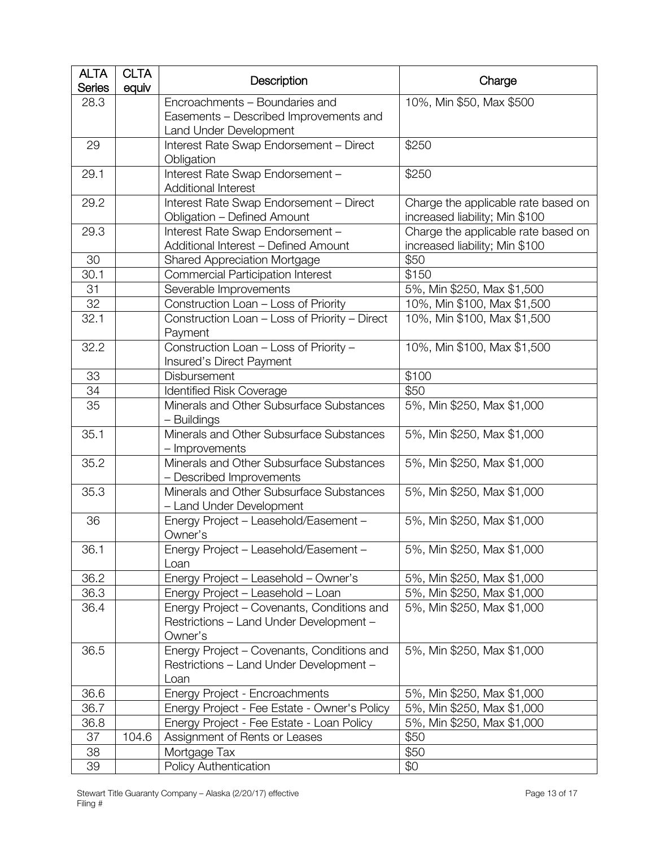| <b>ALTA</b><br><b>Series</b> | <b>CLTA</b><br>equiv | Description                                                                                        | Charge                                                                |
|------------------------------|----------------------|----------------------------------------------------------------------------------------------------|-----------------------------------------------------------------------|
| 28.3                         |                      | Encroachments - Boundaries and<br>Easements - Described Improvements and<br>Land Under Development | 10%, Min \$50, Max \$500                                              |
| 29                           |                      | Interest Rate Swap Endorsement - Direct<br>Obligation                                              | \$250                                                                 |
| 29.1                         |                      | Interest Rate Swap Endorsement -<br><b>Additional Interest</b>                                     | \$250                                                                 |
| 29.2                         |                      | Interest Rate Swap Endorsement - Direct<br>Obligation - Defined Amount                             | Charge the applicable rate based on<br>increased liability; Min \$100 |
| 29.3                         |                      | Interest Rate Swap Endorsement -<br>Additional Interest - Defined Amount                           | Charge the applicable rate based on<br>increased liability; Min \$100 |
| 30                           |                      | <b>Shared Appreciation Mortgage</b>                                                                | \$50                                                                  |
| 30.1                         |                      | <b>Commercial Participation Interest</b>                                                           | \$150                                                                 |
| 31                           |                      | Severable Improvements                                                                             | 5%, Min \$250, Max \$1,500                                            |
| 32                           |                      | Construction Loan - Loss of Priority                                                               | 10%, Min \$100, Max \$1,500                                           |
| 32.1                         |                      | Construction Loan - Loss of Priority - Direct<br>Payment                                           | 10%, Min \$100, Max \$1,500                                           |
| 32.2                         |                      | Construction Loan - Loss of Priority -<br>Insured's Direct Payment                                 | 10%, Min \$100, Max \$1,500                                           |
| 33                           |                      | Disbursement                                                                                       | \$100                                                                 |
| 34                           |                      | <b>Identified Risk Coverage</b>                                                                    | \$50                                                                  |
| 35                           |                      | Minerals and Other Subsurface Substances<br>- Buildings                                            | 5%, Min \$250, Max \$1,000                                            |
| 35.1                         |                      | Minerals and Other Subsurface Substances<br>- Improvements                                         | 5%, Min \$250, Max \$1,000                                            |
| 35.2                         |                      | Minerals and Other Subsurface Substances<br>- Described Improvements                               | 5%, Min \$250, Max \$1,000                                            |
| 35.3                         |                      | Minerals and Other Subsurface Substances<br>- Land Under Development                               | 5%, Min \$250, Max \$1,000                                            |
| 36                           |                      | Energy Project - Leasehold/Easement -<br>Owner's                                                   | 5%, Min \$250, Max \$1,000                                            |
| 36.1                         |                      | Energy Project - Leasehold/Easement -<br>Loan                                                      | 5%, Min \$250, Max \$1,000                                            |
| 36.2                         |                      | Energy Project - Leasehold - Owner's                                                               | 5%, Min \$250, Max \$1,000                                            |
| 36.3                         |                      | Energy Project - Leasehold - Loan                                                                  | 5%, Min \$250, Max \$1,000                                            |
| 36.4                         |                      | Energy Project - Covenants, Conditions and<br>Restrictions - Land Under Development -<br>Owner's   | 5%, Min \$250, Max \$1,000                                            |
| 36.5                         |                      | Energy Project - Covenants, Conditions and<br>Restrictions - Land Under Development -<br>Loan      | 5%, Min \$250, Max \$1,000                                            |
| 36.6                         |                      | Energy Project - Encroachments                                                                     | 5%, Min \$250, Max \$1,000                                            |
| 36.7                         |                      | Energy Project - Fee Estate - Owner's Policy                                                       | 5%, Min \$250, Max \$1,000                                            |
| 36.8                         |                      | Energy Project - Fee Estate - Loan Policy                                                          | 5%, Min \$250, Max \$1,000                                            |
| 37                           | 104.6                | Assignment of Rents or Leases                                                                      | \$50                                                                  |
| 38                           |                      | Mortgage Tax                                                                                       | \$50                                                                  |
| 39                           |                      | Policy Authentication                                                                              | \$0                                                                   |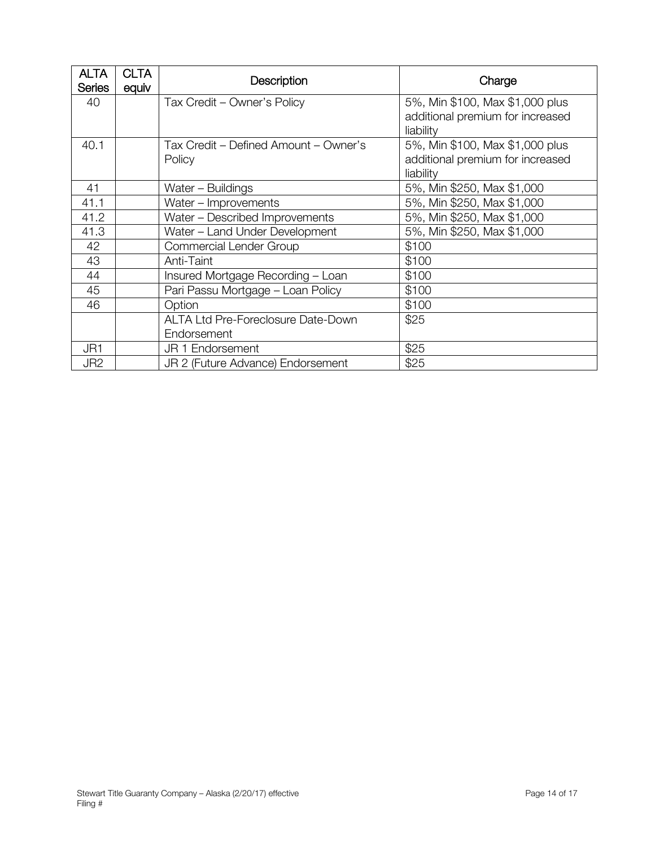| <b>ALTA</b><br><b>Series</b> | <b>CLTA</b><br>equiv | Description                                     | Charge                                                                           |
|------------------------------|----------------------|-------------------------------------------------|----------------------------------------------------------------------------------|
| 40                           |                      | Tax Credit - Owner's Policy                     | 5%, Min \$100, Max \$1,000 plus<br>additional premium for increased<br>liability |
| 40.1                         |                      | Tax Credit - Defined Amount - Owner's<br>Policy | 5%, Min \$100, Max \$1,000 plus<br>additional premium for increased<br>liability |
| 41                           |                      | Water - Buildings                               | 5%, Min \$250, Max \$1,000                                                       |
| 41.1                         |                      | Water - Improvements                            | 5%, Min \$250, Max \$1,000                                                       |
| 41.2                         |                      | Water - Described Improvements                  | 5%, Min \$250, Max \$1,000                                                       |
| 41.3                         |                      | Water - Land Under Development                  | 5%, Min \$250, Max \$1,000                                                       |
| 42                           |                      | Commercial Lender Group                         | \$100                                                                            |
| 43                           |                      | Anti-Taint                                      | \$100                                                                            |
| 44                           |                      | Insured Mortgage Recording - Loan               | \$100                                                                            |
| 45                           |                      | Pari Passu Mortgage - Loan Policy               | \$100                                                                            |
| 46                           |                      | Option                                          | \$100                                                                            |
|                              |                      | <b>ALTA Ltd Pre-Foreclosure Date-Down</b>       | \$25                                                                             |
|                              |                      | Endorsement                                     |                                                                                  |
| JR1                          |                      | JR 1 Endorsement                                | \$25                                                                             |
| JR <sub>2</sub>              |                      | JR 2 (Future Advance) Endorsement               | \$25                                                                             |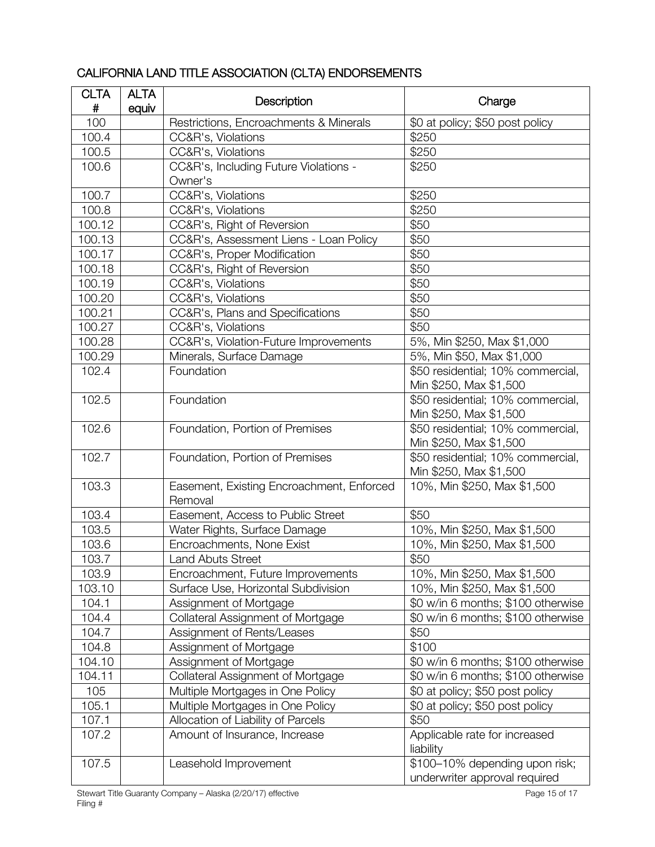| <b>CLTA</b><br>$\#$ | <b>ALTA</b><br>equiv | Description                                          | Charge                             |
|---------------------|----------------------|------------------------------------------------------|------------------------------------|
| 100                 |                      | Restrictions, Encroachments & Minerals               | \$0 at policy; \$50 post policy    |
| 100.4               |                      | CC&R's, Violations                                   | \$250                              |
| 100.5               |                      | CC&R's, Violations                                   | \$250                              |
| 100.6               |                      | CC&R's, Including Future Violations -                | \$250                              |
|                     |                      | Owner's                                              |                                    |
| 100.7               |                      | CC&R's, Violations                                   | \$250                              |
| 100.8               |                      | CC&R's, Violations                                   | \$250                              |
| 100.12              |                      | CC&R's, Right of Reversion                           | \$50                               |
| 100.13              |                      | CC&R's, Assessment Liens - Loan Policy               | \$50                               |
| 100.17              |                      | CC&R's, Proper Modification                          | \$50                               |
| 100.18              |                      | CC&R's, Right of Reversion                           | \$50                               |
| 100.19              |                      | CC&R's, Violations                                   | \$50                               |
| 100.20              |                      | CC&R's, Violations                                   | \$50                               |
| 100.21              |                      | CC&R's, Plans and Specifications                     | \$50                               |
| 100.27              |                      | CC&R's, Violations                                   | \$50                               |
| 100.28              |                      | CC&R's, Violation-Future Improvements                | 5%, Min \$250, Max \$1,000         |
| 100.29              |                      | Minerals, Surface Damage                             | 5%, Min \$50, Max \$1,000          |
| 102.4               |                      | Foundation                                           | \$50 residential; 10% commercial,  |
|                     |                      |                                                      | Min \$250, Max \$1,500             |
| 102.5               |                      | Foundation                                           | \$50 residential; 10% commercial,  |
|                     |                      |                                                      | Min \$250, Max \$1,500             |
| 102.6               |                      | Foundation, Portion of Premises                      | \$50 residential; 10% commercial,  |
|                     |                      |                                                      | Min \$250, Max \$1,500             |
| 102.7               |                      | Foundation, Portion of Premises                      | \$50 residential; 10% commercial,  |
|                     |                      |                                                      | Min \$250, Max \$1,500             |
| 103.3               |                      | Easement, Existing Encroachment, Enforced<br>Removal | 10%, Min \$250, Max \$1,500        |
| 103.4               |                      | Easement, Access to Public Street                    | \$50                               |
| 103.5               |                      | Water Rights, Surface Damage                         | 10%, Min \$250, Max \$1,500        |
| 103.6               |                      | Encroachments, None Exist                            | 10%, Min \$250, Max \$1,500        |
| 103.7               |                      | <b>Land Abuts Street</b>                             | \$50                               |
| 103.9               |                      | Encroachment, Future Improvements                    | 10%, Min \$250, Max \$1,500        |
| 103.10              |                      | Surface Use, Horizontal Subdivision                  | 10%, Min \$250, Max \$1,500        |
| 104.1               |                      | Assignment of Mortgage                               | \$0 w/in 6 months; \$100 otherwise |
| 104.4               |                      | Collateral Assignment of Mortgage                    | \$0 w/in 6 months; \$100 otherwise |
| 104.7               |                      | Assignment of Rents/Leases                           | \$50                               |
| 104.8               |                      | Assignment of Mortgage                               | \$100                              |
| 104.10              |                      | Assignment of Mortgage                               | \$0 w/in 6 months; \$100 otherwise |
| 104.11              |                      | Collateral Assignment of Mortgage                    | \$0 w/in 6 months; \$100 otherwise |
| 105                 |                      | Multiple Mortgages in One Policy                     | \$0 at policy; \$50 post policy    |
| 105.1               |                      | Multiple Mortgages in One Policy                     | \$0 at policy; \$50 post policy    |
| 107.1               |                      | Allocation of Liability of Parcels                   | \$50                               |
| 107.2               |                      | Amount of Insurance, Increase                        | Applicable rate for increased      |
|                     |                      |                                                      | liability                          |
| 107.5               |                      | Leasehold Improvement                                | \$100-10% depending upon risk;     |
|                     |                      |                                                      | underwriter approval required      |

# CALIFORNIA LAND TITLE ASSOCIATION (CLTA) ENDORSEMENTS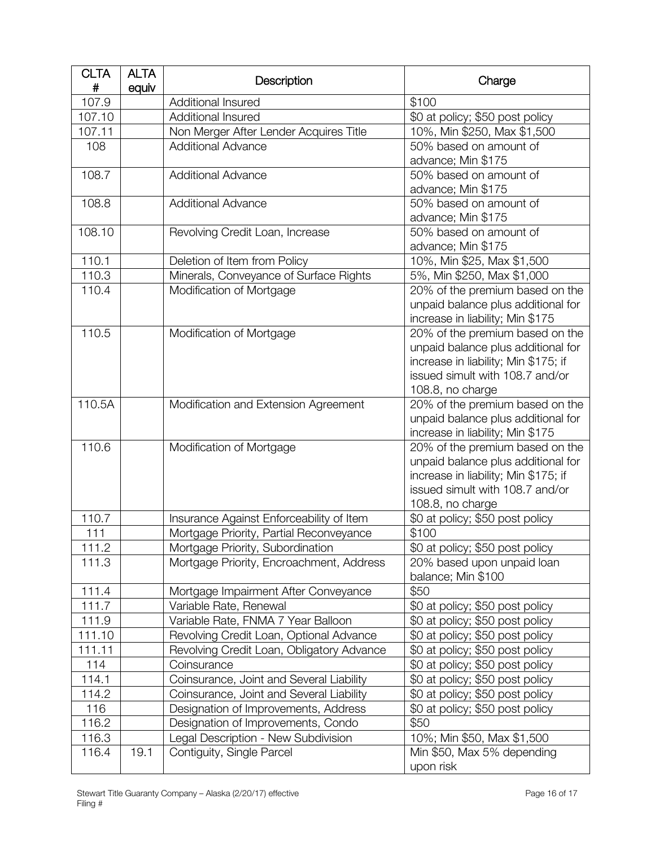| <b>CLTA</b><br># | <b>ALTA</b><br>equiv | Description                               | Charge                               |
|------------------|----------------------|-------------------------------------------|--------------------------------------|
| 107.9            |                      | Additional Insured                        | \$100                                |
| 107.10           |                      | Additional Insured                        | \$0 at policy; \$50 post policy      |
| 107.11           |                      | Non Merger After Lender Acquires Title    | 10%, Min \$250, Max \$1,500          |
| 108              |                      | <b>Additional Advance</b>                 | 50% based on amount of               |
|                  |                      |                                           | advance; Min \$175                   |
| 108.7            |                      | <b>Additional Advance</b>                 | 50% based on amount of               |
|                  |                      |                                           | advance; Min \$175                   |
| 108.8            |                      | <b>Additional Advance</b>                 | 50% based on amount of               |
|                  |                      |                                           | advance; Min \$175                   |
| 108.10           |                      | Revolving Credit Loan, Increase           | 50% based on amount of               |
|                  |                      |                                           | advance; Min \$175                   |
| 110.1            |                      | Deletion of Item from Policy              | 10%, Min \$25, Max \$1,500           |
| 110.3            |                      | Minerals, Conveyance of Surface Rights    | 5%, Min \$250, Max \$1,000           |
| 110.4            |                      | Modification of Mortgage                  | 20% of the premium based on the      |
|                  |                      |                                           | unpaid balance plus additional for   |
|                  |                      |                                           | increase in liability; Min \$175     |
| 110.5            |                      | Modification of Mortgage                  | 20% of the premium based on the      |
|                  |                      |                                           | unpaid balance plus additional for   |
|                  |                      |                                           | increase in liability; Min \$175; if |
|                  |                      |                                           | issued simult with 108.7 and/or      |
|                  |                      |                                           | 108.8, no charge                     |
| 110.5A           |                      | Modification and Extension Agreement      | 20% of the premium based on the      |
|                  |                      |                                           | unpaid balance plus additional for   |
|                  |                      |                                           | increase in liability; Min \$175     |
| 110.6            |                      | Modification of Mortgage                  | 20% of the premium based on the      |
|                  |                      |                                           | unpaid balance plus additional for   |
|                  |                      |                                           | increase in liability; Min \$175; if |
|                  |                      |                                           | issued simult with 108.7 and/or      |
|                  |                      |                                           | 108.8, no charge                     |
| 110.7            |                      | Insurance Against Enforceability of Item  | \$0 at policy; \$50 post policy      |
| 111              |                      | Mortgage Priority, Partial Reconveyance   | \$100                                |
| 111.2            |                      | Mortgage Priority, Subordination          | \$0 at policy; \$50 post policy      |
| 111.3            |                      | Mortgage Priority, Encroachment, Address  | 20% based upon unpaid loan           |
|                  |                      |                                           | balance; Min \$100                   |
| 111.4            |                      | Mortgage Impairment After Conveyance      | \$50                                 |
| 111.7            |                      | Variable Rate, Renewal                    | \$0 at policy; \$50 post policy      |
| 111.9            |                      | Variable Rate, FNMA 7 Year Balloon        | \$0 at policy; \$50 post policy      |
| 111.10           |                      | Revolving Credit Loan, Optional Advance   | \$0 at policy; \$50 post policy      |
| 111.11           |                      | Revolving Credit Loan, Obligatory Advance | \$0 at policy; \$50 post policy      |
| 114              |                      | Coinsurance                               | \$0 at policy; \$50 post policy      |
| 114.1            |                      | Coinsurance, Joint and Several Liability  | \$0 at policy; \$50 post policy      |
| 114.2            |                      | Coinsurance, Joint and Several Liability  | \$0 at policy; \$50 post policy      |
| 116              |                      | Designation of Improvements, Address      | \$0 at policy; \$50 post policy      |
| 116.2            |                      | Designation of Improvements, Condo        | \$50                                 |
| 116.3            |                      | Legal Description - New Subdivision       | 10%; Min \$50, Max \$1,500           |
| 116.4            | 19.1                 | Contiguity, Single Parcel                 | Min \$50, Max 5% depending           |
|                  |                      |                                           | upon risk                            |